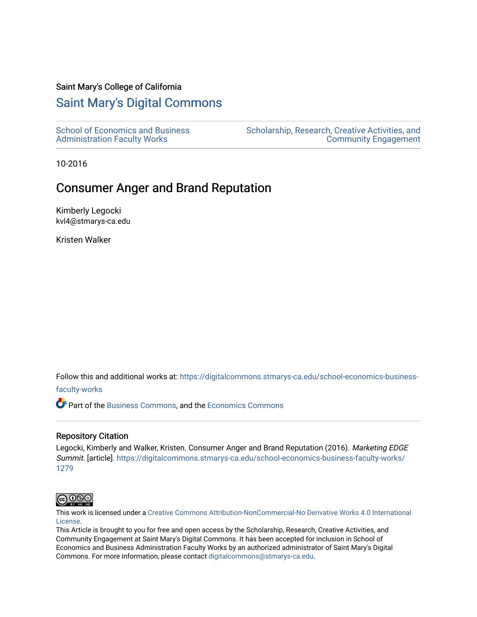#### Saint Mary's College of California

### [Saint Mary's Digital Commons](https://digitalcommons.stmarys-ca.edu/)

[School of Economics and Business](https://digitalcommons.stmarys-ca.edu/school-economics-business-faculty-works)  [Administration Faculty Works](https://digitalcommons.stmarys-ca.edu/school-economics-business-faculty-works)

[Scholarship, Research, Creative Activities, and](https://digitalcommons.stmarys-ca.edu/scholarship-research-community)  [Community Engagement](https://digitalcommons.stmarys-ca.edu/scholarship-research-community) 

10-2016

## Consumer Anger and Brand Reputation

Kimberly Legocki kvl4@stmarys-ca.edu

Kristen Walker

Follow this and additional works at: [https://digitalcommons.stmarys-ca.edu/school-economics-business-](https://digitalcommons.stmarys-ca.edu/school-economics-business-faculty-works?utm_source=digitalcommons.stmarys-ca.edu%2Fschool-economics-business-faculty-works%2F1279&utm_medium=PDF&utm_campaign=PDFCoverPages)

[faculty-works](https://digitalcommons.stmarys-ca.edu/school-economics-business-faculty-works?utm_source=digitalcommons.stmarys-ca.edu%2Fschool-economics-business-faculty-works%2F1279&utm_medium=PDF&utm_campaign=PDFCoverPages) 

Part of the [Business Commons](http://network.bepress.com/hgg/discipline/622?utm_source=digitalcommons.stmarys-ca.edu%2Fschool-economics-business-faculty-works%2F1279&utm_medium=PDF&utm_campaign=PDFCoverPages), and the [Economics Commons](http://network.bepress.com/hgg/discipline/340?utm_source=digitalcommons.stmarys-ca.edu%2Fschool-economics-business-faculty-works%2F1279&utm_medium=PDF&utm_campaign=PDFCoverPages)

#### Repository Citation

Legocki, Kimberly and Walker, Kristen. Consumer Anger and Brand Reputation (2016). Marketing EDGE Summit. [article]. [https://digitalcommons.stmarys-ca.edu/school-economics-business-faculty-works/](https://digitalcommons.stmarys-ca.edu/school-economics-business-faculty-works/1279?utm_source=digitalcommons.stmarys-ca.edu%2Fschool-economics-business-faculty-works%2F1279&utm_medium=PDF&utm_campaign=PDFCoverPages) [1279](https://digitalcommons.stmarys-ca.edu/school-economics-business-faculty-works/1279?utm_source=digitalcommons.stmarys-ca.edu%2Fschool-economics-business-faculty-works%2F1279&utm_medium=PDF&utm_campaign=PDFCoverPages)



This work is licensed under a [Creative Commons Attribution-NonCommercial-No Derivative Works 4.0 International](https://creativecommons.org/licenses/by-nc-nd/4.0/) [License.](https://creativecommons.org/licenses/by-nc-nd/4.0/)

This Article is brought to you for free and open access by the Scholarship, Research, Creative Activities, and Community Engagement at Saint Mary's Digital Commons. It has been accepted for inclusion in School of Economics and Business Administration Faculty Works by an authorized administrator of Saint Mary's Digital Commons. For more information, please contact [digitalcommons@stmarys-ca.edu](mailto:digitalcommons@stmarys-ca.edu).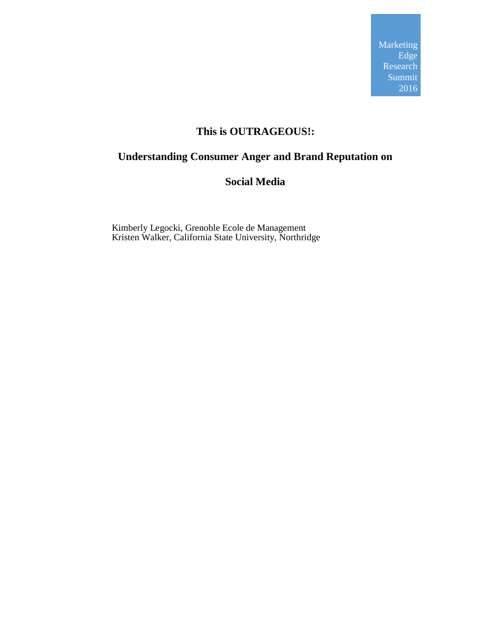## **This is OUTRAGEOUS!:**

# **Understanding Consumer Anger and Brand Reputation on**

### **Social Media**

Kimberly Legocki, Grenoble Ecole de Management Kristen Walker, California State University, Northridge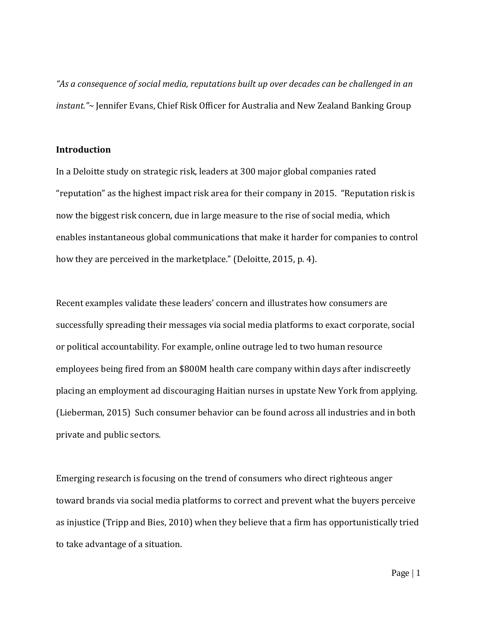*"As a consequence of social media, reputations built up over decades can be challenged in an instant."~* Jennifer Evans, Chief Risk Officer for Australia and New Zealand Banking Group

### **Introduction**

In a Deloitte study on strategic risk, leaders at 300 major global companies rated "reputation" as the highest impact risk area for their company in 2015. "Reputation risk is now the biggest risk concern, due in large measure to the rise of social media, which enables instantaneous global communications that make it harder for companies to control how they are perceived in the marketplace." (Deloitte, 2015, p. 4).

Recent examples validate these leaders' concern and illustrates how consumers are successfully spreading their messages via social media platforms to exact corporate, social or political accountability. For example, online outrage led to two human resource employees being fired from an \$800M health care company within days after indiscreetly placing an employment ad discouraging Haitian nurses in upstate New York from applying. (Lieberman, 2015) Such consumer behavior can be found across all industries and in both private and public sectors.

Emerging research is focusing on the trend of consumers who direct righteous anger toward brands via social media platforms to correct and prevent what the buyers perceive as injustice (Tripp and Bies, 2010) when they believe that a firm has opportunistically tried to take advantage of a situation.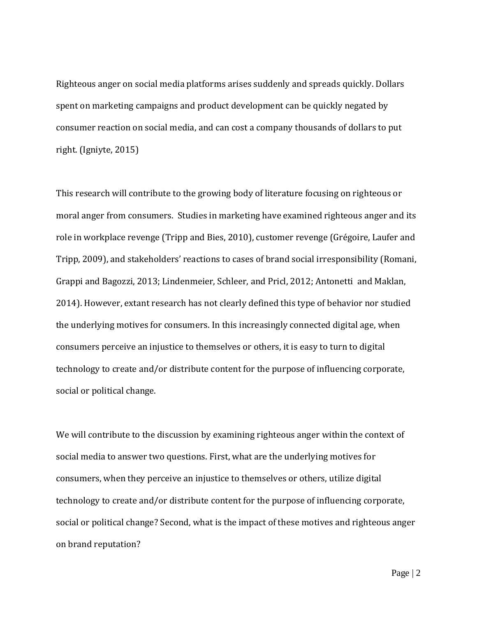Righteous anger on social media platforms arises suddenly and spreads quickly. Dollars spent on marketing campaigns and product development can be quickly negated by consumer reaction on social media, and can cost a company thousands of dollars to put right. (Igniyte, 2015)

This research will contribute to the growing body of literature focusing on righteous or moral anger from consumers. Studies in marketing have examined righteous anger and its role in workplace revenge (Tripp and Bies, 2010), customer revenge (Grégoire, Laufer and Tripp, 2009), and stakeholders' reactions to cases of brand social irresponsibility (Romani, Grappi and Bagozzi, 2013; Lindenmeier, Schleer, and Pricl, 2012; Antonett[i](mailto:paolo.antonetti@wbs.ac.uk) and Maklan, 2014). However, extant research has not clearly defined this type of behavior nor studied the underlying motives for consumers. In this increasingly connected digital age, when consumers perceive an injustice to themselves or others, it is easy to turn to digital technology to create and/or distribute content for the purpose of influencing corporate, social or political change.

We will contribute to the discussion by examining righteous anger within the context of social media to answer two questions. First, what are the underlying motives for consumers, when they perceive an injustice to themselves or others, utilize digital technology to create and/or distribute content for the purpose of influencing corporate, social or political change? Second, what is the impact of these motives and righteous anger on brand reputation?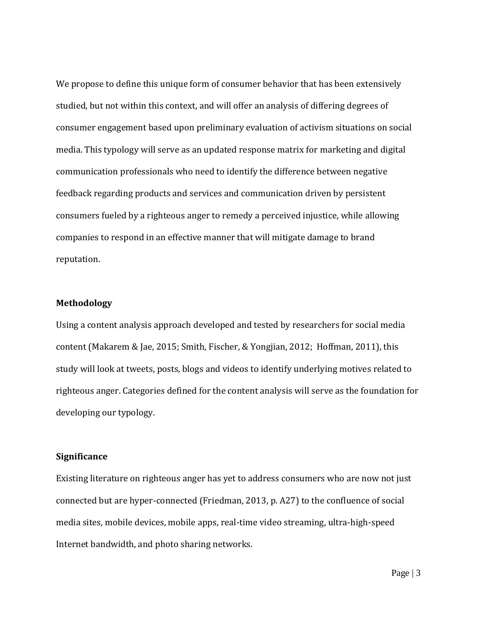We propose to define this unique form of consumer behavior that has been extensively studied, but not within this context, and will offer an analysis of differing degrees of consumer engagement based upon preliminary evaluation of activism situations on social media. This typology will serve as an updated response matrix for marketing and digital communication professionals who need to identify the difference between negative feedback regarding products and services and communication driven by persistent consumers fueled by a righteous anger to remedy a perceived injustice, while allowing companies to respond in an effective manner that will mitigate damage to brand reputation.

#### **Methodology**

Using a content analysis approach developed and tested by researchers for social media content (Makarem & Jae, 2015; Smith, Fischer, & Yongjian, 2012; Hoffman, 2011), this study will look at tweets, posts, blogs and videos to identify underlying motives related to righteous anger. Categories defined for the content analysis will serve as the foundation for developing our typology.

### **Significance**

Existing literature on righteous anger has yet to address consumers who are now not just connected but are hyper-connected (Friedman, 2013, p. A27) to the confluence of social media sites, mobile devices, mobile apps, real-time video streaming, ultra-high-speed Internet bandwidth, and photo sharing networks.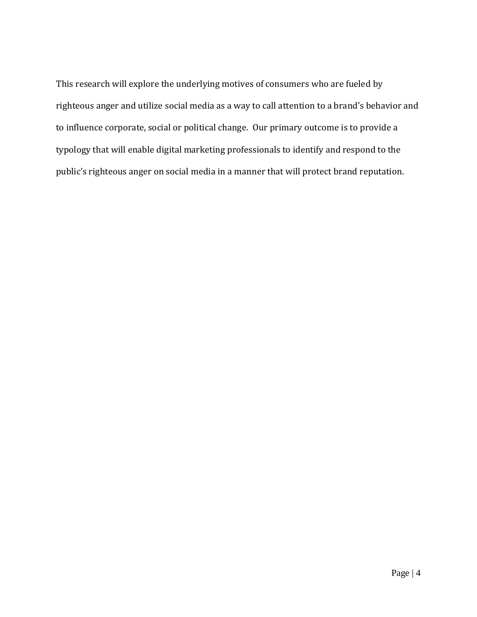This research will explore the underlying motives of consumers who are fueled by righteous anger and utilize social media as a way to call attention to a brand's behavior and to influence corporate, social or political change. Our primary outcome is to provide a typology that will enable digital marketing professionals to identify and respond to the public's righteous anger on social media in a manner that will protect brand reputation.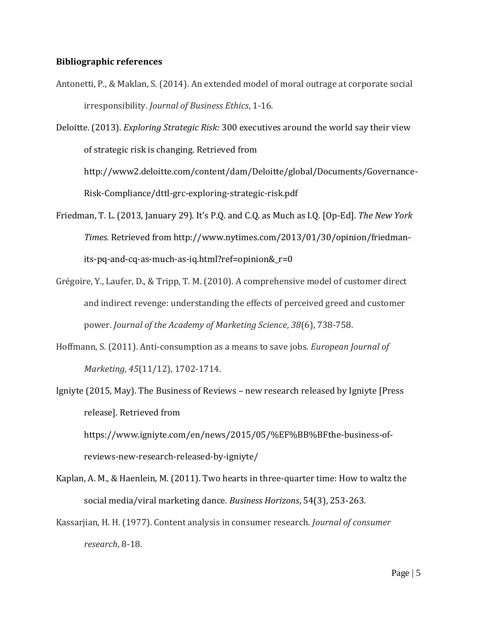#### **Bibliographic references**

- Antonetti, P., & Maklan, S. (2014). An extended model of moral outrage at corporate social irresponsibility. *Journal of Business Ethics*, 1-16.
- Deloitte. (2013). *Exploring Strategic Risk:* 300 executives around the world say their view of strategic risk is changing*.* Retrieved from

[http://www2.deloitte.com/content/dam/Deloitte/global/Documents/Governance-](http://www2.deloitte.com/content/dam/Deloitte/global/Documents/Governance-Risk-Compliance/dttl-grc-exploring-strategic-risk.pdf)[Risk-Compliance/dttl-grc-exploring-strategic-risk.pdf](http://www2.deloitte.com/content/dam/Deloitte/global/Documents/Governance-Risk-Compliance/dttl-grc-exploring-strategic-risk.pdf)

- Friedman, T. L. (2013, January 29). It's P.Q. and C.Q. as Much as I.Q. [Op-Ed]. *The New York Times.* Retrieved from http://www.nytimes.com/2013/01/30/opinion/friedmanits-pq-and-cq-as-much-as-iq.html?ref=opinion&\_r=0
- Grégoire, Y., Laufer, D., & Tripp, T. M. (2010). A comprehensive model of customer direct and indirect revenge: understanding the effects of perceived greed and customer power. *Journal of the Academy of Marketing Science*, *38*(6), 738-758.
- Hoffmann, S. (2011). Anti-consumption as a means to save jobs. *European Journal of Marketing*, *45*(11/12), 1702-1714.
- Igniyte (2015, May). The Business of Reviews new research released by Igniyte [Press release]. Retrieved from

https://www.igniyte.com/en/news/2015/05/%EF%BB%BFthe-business-ofreviews-new-research-released-by-igniyte/

- Kaplan, A. M., & Haenlein, M. (2011). Two hearts in three-quarter time: How to waltz the social media/viral marketing dance. *Business Horizons*, 54(3), 253-263.
- Kassarjian, H. H. (1977). Content analysis in consumer research. *Journal of consumer research*, 8-18.